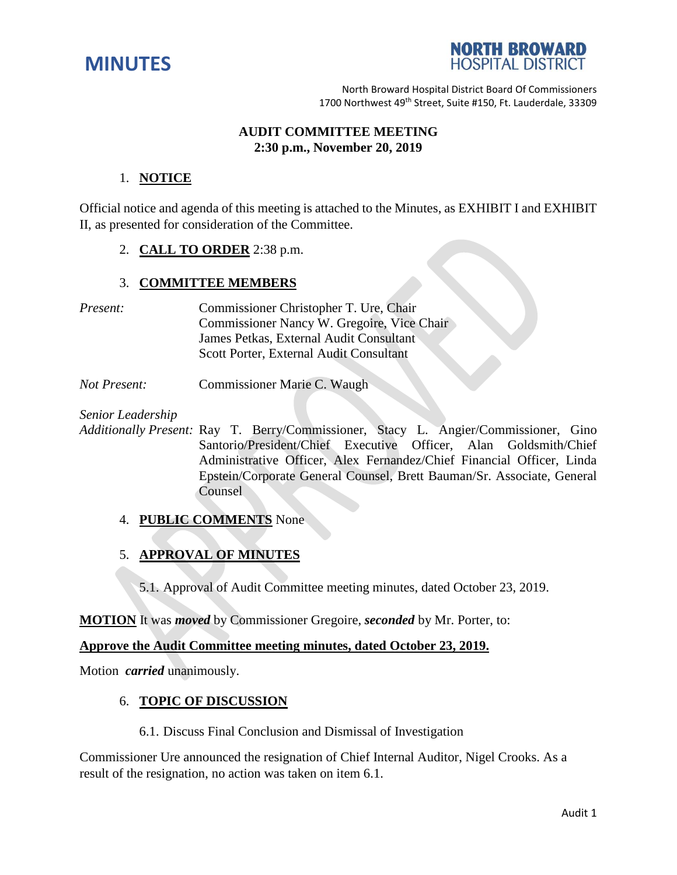



North Broward Hospital District Board Of Commissioners 1700 Northwest 49<sup>th</sup> Street, Suite #150, Ft. Lauderdale, 33309

## **AUDIT COMMITTEE MEETING 2:30 p.m., November 20, 2019**

## 1. **NOTICE**

Official notice and agenda of this meeting is attached to the Minutes, as EXHIBIT I and EXHIBIT II, as presented for consideration of the Committee.

## 2. **CALL TO ORDER** 2:38 p.m.

# 3. **COMMITTEE MEMBERS**

- *Present:* Commissioner Christopher T. Ure, Chair Commissioner Nancy W. Gregoire, Vice Chair James Petkas, External Audit Consultant Scott Porter, External Audit Consultant
- *Not Present:* Commissioner Marie C. Waugh

*Senior Leadership*

*Additionally Present:* Ray T. Berry/Commissioner, Stacy L. Angier/Commissioner, Gino Santorio/President/Chief Executive Officer, Alan Goldsmith/Chief Administrative Officer, Alex Fernandez/Chief Financial Officer, Linda Epstein/Corporate General Counsel, Brett Bauman/Sr. Associate, General **Counsel** 

# 4. **PUBLIC COMMENTS** None

# 5. **APPROVAL OF MINUTES**

5.1. Approval of Audit Committee meeting minutes, dated October 23, 2019.

**MOTION** It was *moved* by Commissioner Gregoire, *seconded* by Mr. Porter, to:

## **Approve the Audit Committee meeting minutes, dated October 23, 2019.**

Motion *carried* unanimously.

### 6. **TOPIC OF DISCUSSION**

6.1. Discuss Final Conclusion and Dismissal of Investigation

Commissioner Ure announced the resignation of Chief Internal Auditor, Nigel Crooks. As a result of the resignation, no action was taken on item 6.1.